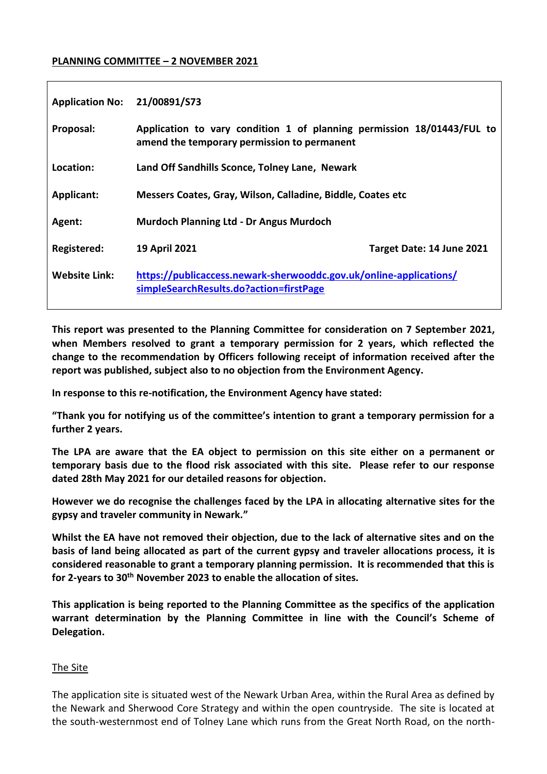### **PLANNING COMMITTEE – 2 NOVEMBER 2021**

| <b>Application No:</b> | 21/00891/S73                                                                                                          |                           |
|------------------------|-----------------------------------------------------------------------------------------------------------------------|---------------------------|
| Proposal:              | Application to vary condition 1 of planning permission 18/01443/FUL to<br>amend the temporary permission to permanent |                           |
| Location:              | Land Off Sandhills Sconce, Tolney Lane, Newark                                                                        |                           |
| <b>Applicant:</b>      | Messers Coates, Gray, Wilson, Calladine, Biddle, Coates etc                                                           |                           |
| Agent:                 | <b>Murdoch Planning Ltd - Dr Angus Murdoch</b>                                                                        |                           |
| Registered:            | <b>19 April 2021</b>                                                                                                  | Target Date: 14 June 2021 |
| <b>Website Link:</b>   | https://publicaccess.newark-sherwooddc.gov.uk/online-applications/<br>simpleSearchResults.do?action=firstPage         |                           |

**This report was presented to the Planning Committee for consideration on 7 September 2021, when Members resolved to grant a temporary permission for 2 years, which reflected the change to the recommendation by Officers following receipt of information received after the report was published, subject also to no objection from the Environment Agency.** 

**In response to this re-notification, the Environment Agency have stated:**

**"Thank you for notifying us of the committee's intention to grant a temporary permission for a further 2 years.**

**The LPA are aware that the EA object to permission on this site either on a permanent or temporary basis due to the flood risk associated with this site. Please refer to our response dated 28th May 2021 for our detailed reasons for objection.**

**However we do recognise the challenges faced by the LPA in allocating alternative sites for the gypsy and traveler community in Newark."**

**Whilst the EA have not removed their objection, due to the lack of alternative sites and on the basis of land being allocated as part of the current gypsy and traveler allocations process, it is considered reasonable to grant a temporary planning permission. It is recommended that this is for 2-years to 30th November 2023 to enable the allocation of sites.** 

**This application is being reported to the Planning Committee as the specifics of the application warrant determination by the Planning Committee in line with the Council's Scheme of Delegation.** 

### The Site

The application site is situated west of the Newark Urban Area, within the Rural Area as defined by the Newark and Sherwood Core Strategy and within the open countryside. The site is located at the south-westernmost end of Tolney Lane which runs from the Great North Road, on the north-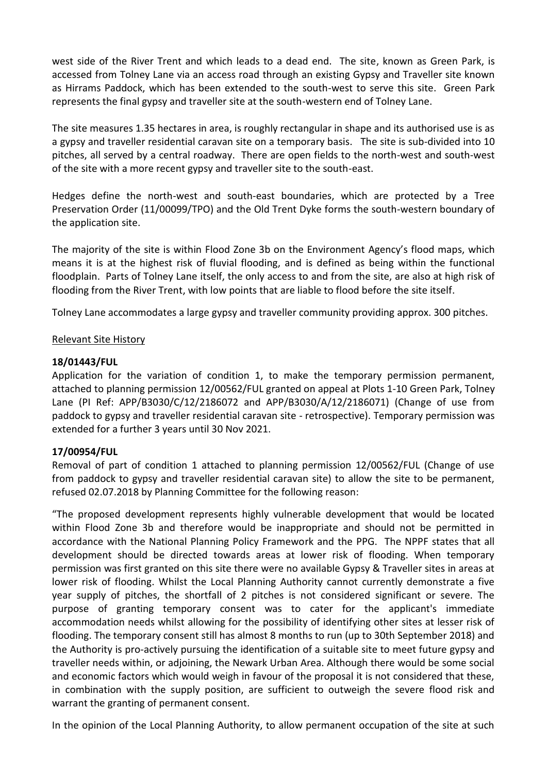west side of the River Trent and which leads to a dead end. The site, known as Green Park, is accessed from Tolney Lane via an access road through an existing Gypsy and Traveller site known as Hirrams Paddock, which has been extended to the south-west to serve this site. Green Park represents the final gypsy and traveller site at the south-western end of Tolney Lane.

The site measures 1.35 hectares in area, is roughly rectangular in shape and its authorised use is as a gypsy and traveller residential caravan site on a temporary basis. The site is sub-divided into 10 pitches, all served by a central roadway. There are open fields to the north-west and south-west of the site with a more recent gypsy and traveller site to the south-east.

Hedges define the north-west and south-east boundaries, which are protected by a Tree Preservation Order (11/00099/TPO) and the Old Trent Dyke forms the south-western boundary of the application site.

The majority of the site is within Flood Zone 3b on the Environment Agency's flood maps, which means it is at the highest risk of fluvial flooding, and is defined as being within the functional floodplain. Parts of Tolney Lane itself, the only access to and from the site, are also at high risk of flooding from the River Trent, with low points that are liable to flood before the site itself.

Tolney Lane accommodates a large gypsy and traveller community providing approx. 300 pitches.

## Relevant Site History

## **18/01443/FUL**

Application for the variation of condition 1, to make the temporary permission permanent, attached to planning permission 12/00562/FUL granted on appeal at Plots 1-10 Green Park, Tolney Lane (PI Ref: APP/B3030/C/12/2186072 and APP/B3030/A/12/2186071) (Change of use from paddock to gypsy and traveller residential caravan site - retrospective). Temporary permission was extended for a further 3 years until 30 Nov 2021.

### **17/00954/FUL**

Removal of part of condition 1 attached to planning permission 12/00562/FUL (Change of use from paddock to gypsy and traveller residential caravan site) to allow the site to be permanent, refused 02.07.2018 by Planning Committee for the following reason:

"The proposed development represents highly vulnerable development that would be located within Flood Zone 3b and therefore would be inappropriate and should not be permitted in accordance with the National Planning Policy Framework and the PPG. The NPPF states that all development should be directed towards areas at lower risk of flooding. When temporary permission was first granted on this site there were no available Gypsy & Traveller sites in areas at lower risk of flooding. Whilst the Local Planning Authority cannot currently demonstrate a five year supply of pitches, the shortfall of 2 pitches is not considered significant or severe. The purpose of granting temporary consent was to cater for the applicant's immediate accommodation needs whilst allowing for the possibility of identifying other sites at lesser risk of flooding. The temporary consent still has almost 8 months to run (up to 30th September 2018) and the Authority is pro-actively pursuing the identification of a suitable site to meet future gypsy and traveller needs within, or adjoining, the Newark Urban Area. Although there would be some social and economic factors which would weigh in favour of the proposal it is not considered that these, in combination with the supply position, are sufficient to outweigh the severe flood risk and warrant the granting of permanent consent.

In the opinion of the Local Planning Authority, to allow permanent occupation of the site at such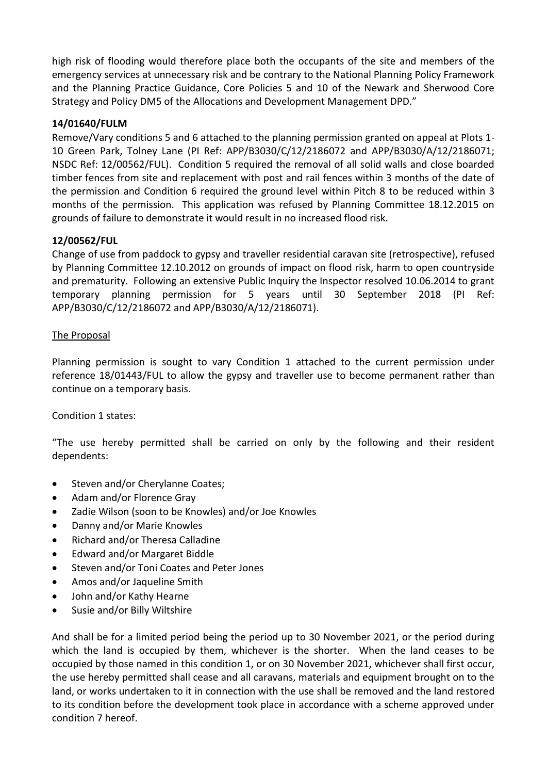high risk of flooding would therefore place both the occupants of the site and members of the emergency services at unnecessary risk and be contrary to the National Planning Policy Framework and the Planning Practice Guidance, Core Policies 5 and 10 of the Newark and Sherwood Core Strategy and Policy DM5 of the Allocations and Development Management DPD."

## **14/01640/FULM**

Remove/Vary conditions 5 and 6 attached to the planning permission granted on appeal at Plots 1- 10 Green Park, Tolney Lane (PI Ref: APP/B3030/C/12/2186072 and APP/B3030/A/12/2186071; NSDC Ref: 12/00562/FUL). Condition 5 required the removal of all solid walls and close boarded timber fences from site and replacement with post and rail fences within 3 months of the date of the permission and Condition 6 required the ground level within Pitch 8 to be reduced within 3 months of the permission. This application was refused by Planning Committee 18.12.2015 on grounds of failure to demonstrate it would result in no increased flood risk.

## **12/00562/FUL**

Change of use from paddock to gypsy and traveller residential caravan site (retrospective), refused by Planning Committee 12.10.2012 on grounds of impact on flood risk, harm to open countryside and prematurity. Following an extensive Public Inquiry the Inspector resolved 10.06.2014 to grant temporary planning permission for 5 years until 30 September 2018 (PI Ref: APP/B3030/C/12/2186072 and APP/B3030/A/12/2186071).

### The Proposal

Planning permission is sought to vary Condition 1 attached to the current permission under reference 18/01443/FUL to allow the gypsy and traveller use to become permanent rather than continue on a temporary basis.

### Condition 1 states:

"The use hereby permitted shall be carried on only by the following and their resident dependents:

- Steven and/or Cherylanne Coates;
- Adam and/or Florence Gray
- Zadie Wilson (soon to be Knowles) and/or Joe Knowles
- Danny and/or Marie Knowles
- Richard and/or Theresa Calladine
- Edward and/or Margaret Biddle
- Steven and/or Toni Coates and Peter Jones
- Amos and/or Jaqueline Smith
- John and/or Kathy Hearne
- Susie and/or Billy Wiltshire

And shall be for a limited period being the period up to 30 November 2021, or the period during which the land is occupied by them, whichever is the shorter. When the land ceases to be occupied by those named in this condition 1, or on 30 November 2021, whichever shall first occur, the use hereby permitted shall cease and all caravans, materials and equipment brought on to the land, or works undertaken to it in connection with the use shall be removed and the land restored to its condition before the development took place in accordance with a scheme approved under condition 7 hereof.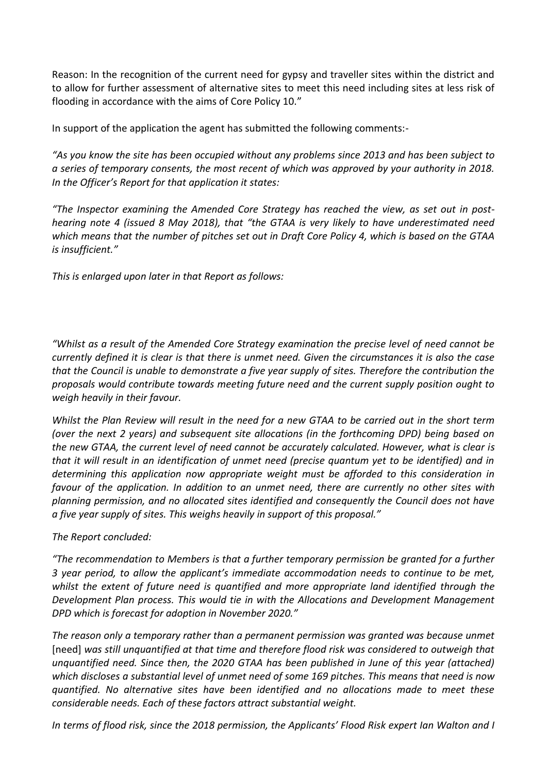Reason: In the recognition of the current need for gypsy and traveller sites within the district and to allow for further assessment of alternative sites to meet this need including sites at less risk of flooding in accordance with the aims of Core Policy 10."

In support of the application the agent has submitted the following comments:-

*"As you know the site has been occupied without any problems since 2013 and has been subject to a series of temporary consents, the most recent of which was approved by your authority in 2018. In the Officer's Report for that application it states:*

*"The Inspector examining the Amended Core Strategy has reached the view, as set out in posthearing note 4 (issued 8 May 2018), that "the GTAA is very likely to have underestimated need which means that the number of pitches set out in Draft Core Policy 4, which is based on the GTAA is insufficient."*

*This is enlarged upon later in that Report as follows:*

*"Whilst as a result of the Amended Core Strategy examination the precise level of need cannot be currently defined it is clear is that there is unmet need. Given the circumstances it is also the case that the Council is unable to demonstrate a five year supply of sites. Therefore the contribution the proposals would contribute towards meeting future need and the current supply position ought to weigh heavily in their favour.*

*Whilst the Plan Review will result in the need for a new GTAA to be carried out in the short term (over the next 2 years) and subsequent site allocations (in the forthcoming DPD) being based on the new GTAA, the current level of need cannot be accurately calculated. However, what is clear is that it will result in an identification of unmet need (precise quantum yet to be identified) and in determining this application now appropriate weight must be afforded to this consideration in favour of the application. In addition to an unmet need, there are currently no other sites with planning permission, and no allocated sites identified and consequently the Council does not have a five year supply of sites. This weighs heavily in support of this proposal."*

### *The Report concluded:*

*"The recommendation to Members is that a further temporary permission be granted for a further 3 year period, to allow the applicant's immediate accommodation needs to continue to be met, whilst the extent of future need is quantified and more appropriate land identified through the Development Plan process. This would tie in with the Allocations and Development Management DPD which is forecast for adoption in November 2020."*

*The reason only a temporary rather than a permanent permission was granted was because unmet*  [need] *was still unquantified at that time and therefore flood risk was considered to outweigh that unquantified need. Since then, the 2020 GTAA has been published in June of this year (attached) which discloses a substantial level of unmet need of some 169 pitches. This means that need is now quantified. No alternative sites have been identified and no allocations made to meet these considerable needs. Each of these factors attract substantial weight.*

*In terms of flood risk, since the 2018 permission, the Applicants' Flood Risk expert Ian Walton and I*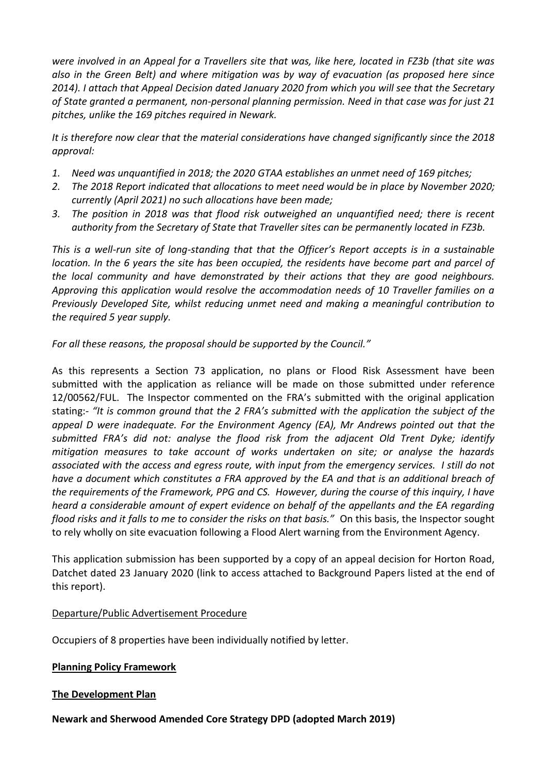*were involved in an Appeal for a Travellers site that was, like here, located in FZ3b (that site was also in the Green Belt) and where mitigation was by way of evacuation (as proposed here since 2014). I attach that Appeal Decision dated January 2020 from which you will see that the Secretary of State granted a permanent, non-personal planning permission. Need in that case was for just 21 pitches, unlike the 169 pitches required in Newark.*

*It is therefore now clear that the material considerations have changed significantly since the 2018 approval:* 

- *1. Need was unquantified in 2018; the 2020 GTAA establishes an unmet need of 169 pitches;*
- *2. The 2018 Report indicated that allocations to meet need would be in place by November 2020; currently (April 2021) no such allocations have been made;*
- *3. The position in 2018 was that flood risk outweighed an unquantified need; there is recent authority from the Secretary of State that Traveller sites can be permanently located in FZ3b.*

*This is a well-run site of long-standing that that the Officer's Report accepts is in a sustainable location. In the 6 years the site has been occupied, the residents have become part and parcel of the local community and have demonstrated by their actions that they are good neighbours. Approving this application would resolve the accommodation needs of 10 Traveller families on a Previously Developed Site, whilst reducing unmet need and making a meaningful contribution to the required 5 year supply.* 

*For all these reasons, the proposal should be supported by the Council."*

As this represents a Section 73 application, no plans or Flood Risk Assessment have been submitted with the application as reliance will be made on those submitted under reference 12/00562/FUL. The Inspector commented on the FRA's submitted with the original application stating:- *"It is common ground that the 2 FRA's submitted with the application the subject of the appeal D were inadequate. For the Environment Agency (EA), Mr Andrews pointed out that the submitted FRA's did not: analyse the flood risk from the adjacent Old Trent Dyke; identify mitigation measures to take account of works undertaken on site; or analyse the hazards associated with the access and egress route, with input from the emergency services. I still do not have a document which constitutes a FRA approved by the EA and that is an additional breach of the requirements of the Framework, PPG and CS. However, during the course of this inquiry, I have heard a considerable amount of expert evidence on behalf of the appellants and the EA regarding flood risks and it falls to me to consider the risks on that basis."* On this basis, the Inspector sought to rely wholly on site evacuation following a Flood Alert warning from the Environment Agency.

This application submission has been supported by a copy of an appeal decision for Horton Road, Datchet dated 23 January 2020 (link to access attached to Background Papers listed at the end of this report).

# Departure/Public Advertisement Procedure

Occupiers of 8 properties have been individually notified by letter.

# **Planning Policy Framework**

# **The Development Plan**

**Newark and Sherwood Amended Core Strategy DPD (adopted March 2019)**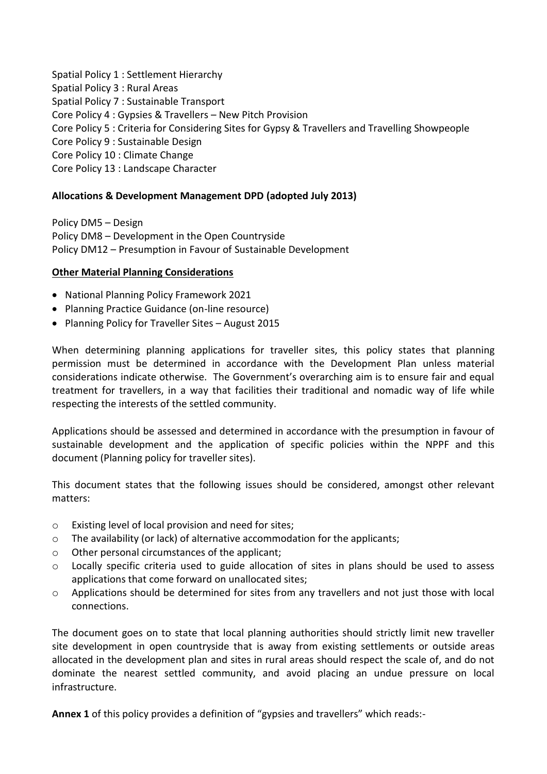Spatial Policy 1 : Settlement Hierarchy Spatial Policy 3 : Rural Areas Spatial Policy 7 : Sustainable Transport Core Policy 4 : Gypsies & Travellers – New Pitch Provision Core Policy 5 : Criteria for Considering Sites for Gypsy & Travellers and Travelling Showpeople Core Policy 9 : Sustainable Design Core Policy 10 : Climate Change Core Policy 13 : Landscape Character

# **Allocations & Development Management DPD (adopted July 2013)**

Policy DM5 – Design Policy DM8 – Development in the Open Countryside Policy DM12 – Presumption in Favour of Sustainable Development

## **Other Material Planning Considerations**

- National Planning Policy Framework 2021
- Planning Practice Guidance (on-line resource)
- Planning Policy for Traveller Sites August 2015

When determining planning applications for traveller sites, this policy states that planning permission must be determined in accordance with the Development Plan unless material considerations indicate otherwise. The Government's overarching aim is to ensure fair and equal treatment for travellers, in a way that facilities their traditional and nomadic way of life while respecting the interests of the settled community.

Applications should be assessed and determined in accordance with the presumption in favour of sustainable development and the application of specific policies within the NPPF and this document (Planning policy for traveller sites).

This document states that the following issues should be considered, amongst other relevant matters:

- o Existing level of local provision and need for sites;
- o The availability (or lack) of alternative accommodation for the applicants;
- o Other personal circumstances of the applicant;
- o Locally specific criteria used to guide allocation of sites in plans should be used to assess applications that come forward on unallocated sites;
- $\circ$  Applications should be determined for sites from any travellers and not just those with local connections.

The document goes on to state that local planning authorities should strictly limit new traveller site development in open countryside that is away from existing settlements or outside areas allocated in the development plan and sites in rural areas should respect the scale of, and do not dominate the nearest settled community, and avoid placing an undue pressure on local infrastructure.

**Annex 1** of this policy provides a definition of "gypsies and travellers" which reads:-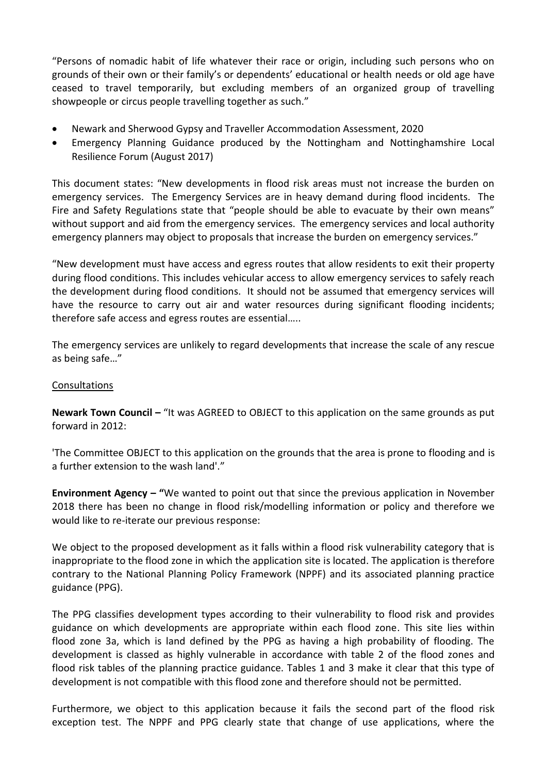"Persons of nomadic habit of life whatever their race or origin, including such persons who on grounds of their own or their family's or dependents' educational or health needs or old age have ceased to travel temporarily, but excluding members of an organized group of travelling showpeople or circus people travelling together as such."

- Newark and Sherwood Gypsy and Traveller Accommodation Assessment, 2020
- Emergency Planning Guidance produced by the Nottingham and Nottinghamshire Local Resilience Forum (August 2017)

This document states: "New developments in flood risk areas must not increase the burden on emergency services. The Emergency Services are in heavy demand during flood incidents. The Fire and Safety Regulations state that "people should be able to evacuate by their own means" without support and aid from the emergency services. The emergency services and local authority emergency planners may object to proposals that increase the burden on emergency services."

"New development must have access and egress routes that allow residents to exit their property during flood conditions. This includes vehicular access to allow emergency services to safely reach the development during flood conditions. It should not be assumed that emergency services will have the resource to carry out air and water resources during significant flooding incidents; therefore safe access and egress routes are essential…..

The emergency services are unlikely to regard developments that increase the scale of any rescue as being safe…"

### Consultations

**Newark Town Council –** "It was AGREED to OBJECT to this application on the same grounds as put forward in 2012:

'The Committee OBJECT to this application on the grounds that the area is prone to flooding and is a further extension to the wash land'."

**Environment Agency – "**We wanted to point out that since the previous application in November 2018 there has been no change in flood risk/modelling information or policy and therefore we would like to re-iterate our previous response:

We object to the proposed development as it falls within a flood risk vulnerability category that is inappropriate to the flood zone in which the application site is located. The application is therefore contrary to the National Planning Policy Framework (NPPF) and its associated planning practice guidance (PPG).

The PPG classifies development types according to their vulnerability to flood risk and provides guidance on which developments are appropriate within each flood zone. This site lies within flood zone 3a, which is land defined by the PPG as having a high probability of flooding. The development is classed as highly vulnerable in accordance with table 2 of the flood zones and flood risk tables of the planning practice guidance. Tables 1 and 3 make it clear that this type of development is not compatible with this flood zone and therefore should not be permitted.

Furthermore, we object to this application because it fails the second part of the flood risk exception test. The NPPF and PPG clearly state that change of use applications, where the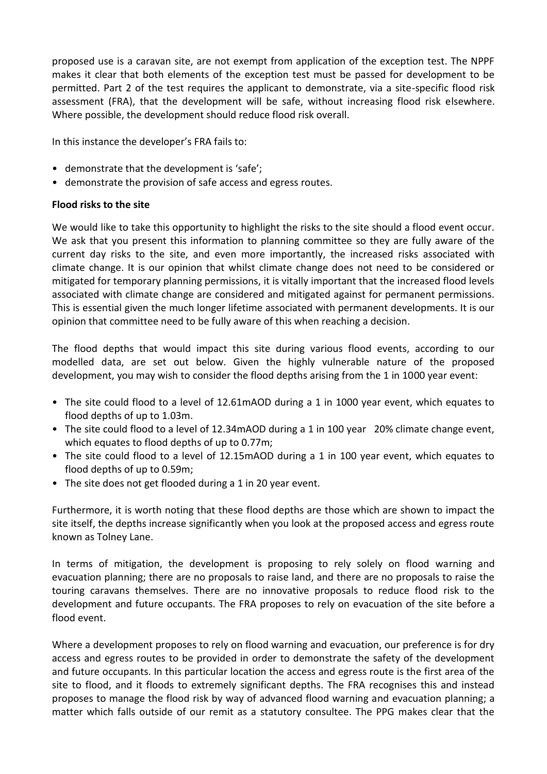proposed use is a caravan site, are not exempt from application of the exception test. The NPPF makes it clear that both elements of the exception test must be passed for development to be permitted. Part 2 of the test requires the applicant to demonstrate, via a site-specific flood risk assessment (FRA), that the development will be safe, without increasing flood risk elsewhere. Where possible, the development should reduce flood risk overall.

In this instance the developer's FRA fails to:

- demonstrate that the development is 'safe';
- demonstrate the provision of safe access and egress routes.

## **Flood risks to the site**

We would like to take this opportunity to highlight the risks to the site should a flood event occur. We ask that you present this information to planning committee so they are fully aware of the current day risks to the site, and even more importantly, the increased risks associated with climate change. It is our opinion that whilst climate change does not need to be considered or mitigated for temporary planning permissions, it is vitally important that the increased flood levels associated with climate change are considered and mitigated against for permanent permissions. This is essential given the much longer lifetime associated with permanent developments. It is our opinion that committee need to be fully aware of this when reaching a decision.

The flood depths that would impact this site during various flood events, according to our modelled data, are set out below. Given the highly vulnerable nature of the proposed development, you may wish to consider the flood depths arising from the 1 in 1000 year event:

- The site could flood to a level of 12.61mAOD during a 1 in 1000 year event, which equates to flood depths of up to 1.03m.
- The site could flood to a level of 12.34mAOD during a 1 in 100 year 20% climate change event, which equates to flood depths of up to 0.77m;
- The site could flood to a level of 12.15mAOD during a 1 in 100 year event, which equates to flood depths of up to 0.59m;
- The site does not get flooded during a 1 in 20 year event.

Furthermore, it is worth noting that these flood depths are those which are shown to impact the site itself, the depths increase significantly when you look at the proposed access and egress route known as Tolney Lane.

In terms of mitigation, the development is proposing to rely solely on flood warning and evacuation planning; there are no proposals to raise land, and there are no proposals to raise the touring caravans themselves. There are no innovative proposals to reduce flood risk to the development and future occupants. The FRA proposes to rely on evacuation of the site before a flood event.

Where a development proposes to rely on flood warning and evacuation, our preference is for dry access and egress routes to be provided in order to demonstrate the safety of the development and future occupants. In this particular location the access and egress route is the first area of the site to flood, and it floods to extremely significant depths. The FRA recognises this and instead proposes to manage the flood risk by way of advanced flood warning and evacuation planning; a matter which falls outside of our remit as a statutory consultee. The PPG makes clear that the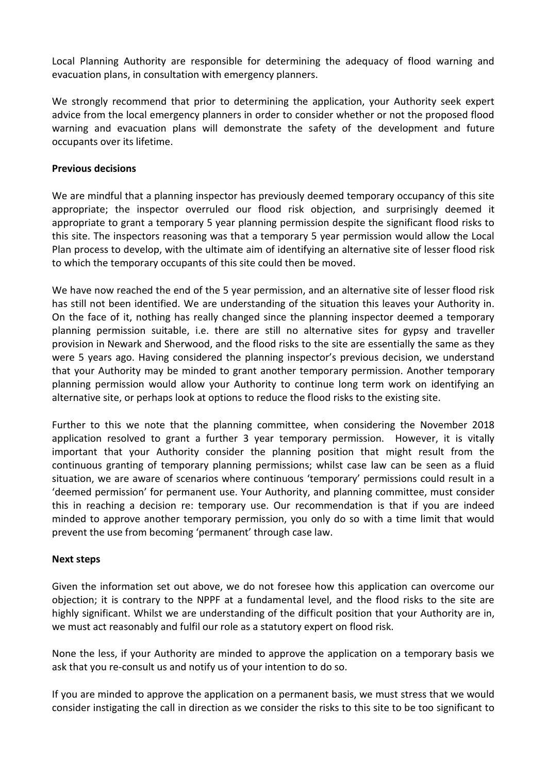Local Planning Authority are responsible for determining the adequacy of flood warning and evacuation plans, in consultation with emergency planners.

We strongly recommend that prior to determining the application, your Authority seek expert advice from the local emergency planners in order to consider whether or not the proposed flood warning and evacuation plans will demonstrate the safety of the development and future occupants over its lifetime.

### **Previous decisions**

We are mindful that a planning inspector has previously deemed temporary occupancy of this site appropriate; the inspector overruled our flood risk objection, and surprisingly deemed it appropriate to grant a temporary 5 year planning permission despite the significant flood risks to this site. The inspectors reasoning was that a temporary 5 year permission would allow the Local Plan process to develop, with the ultimate aim of identifying an alternative site of lesser flood risk to which the temporary occupants of this site could then be moved.

We have now reached the end of the 5 year permission, and an alternative site of lesser flood risk has still not been identified. We are understanding of the situation this leaves your Authority in. On the face of it, nothing has really changed since the planning inspector deemed a temporary planning permission suitable, i.e. there are still no alternative sites for gypsy and traveller provision in Newark and Sherwood, and the flood risks to the site are essentially the same as they were 5 years ago. Having considered the planning inspector's previous decision, we understand that your Authority may be minded to grant another temporary permission. Another temporary planning permission would allow your Authority to continue long term work on identifying an alternative site, or perhaps look at options to reduce the flood risks to the existing site.

Further to this we note that the planning committee, when considering the November 2018 application resolved to grant a further 3 year temporary permission. However, it is vitally important that your Authority consider the planning position that might result from the continuous granting of temporary planning permissions; whilst case law can be seen as a fluid situation, we are aware of scenarios where continuous 'temporary' permissions could result in a 'deemed permission' for permanent use. Your Authority, and planning committee, must consider this in reaching a decision re: temporary use. Our recommendation is that if you are indeed minded to approve another temporary permission, you only do so with a time limit that would prevent the use from becoming 'permanent' through case law.

### **Next steps**

Given the information set out above, we do not foresee how this application can overcome our objection; it is contrary to the NPPF at a fundamental level, and the flood risks to the site are highly significant. Whilst we are understanding of the difficult position that your Authority are in, we must act reasonably and fulfil our role as a statutory expert on flood risk.

None the less, if your Authority are minded to approve the application on a temporary basis we ask that you re-consult us and notify us of your intention to do so.

If you are minded to approve the application on a permanent basis, we must stress that we would consider instigating the call in direction as we consider the risks to this site to be too significant to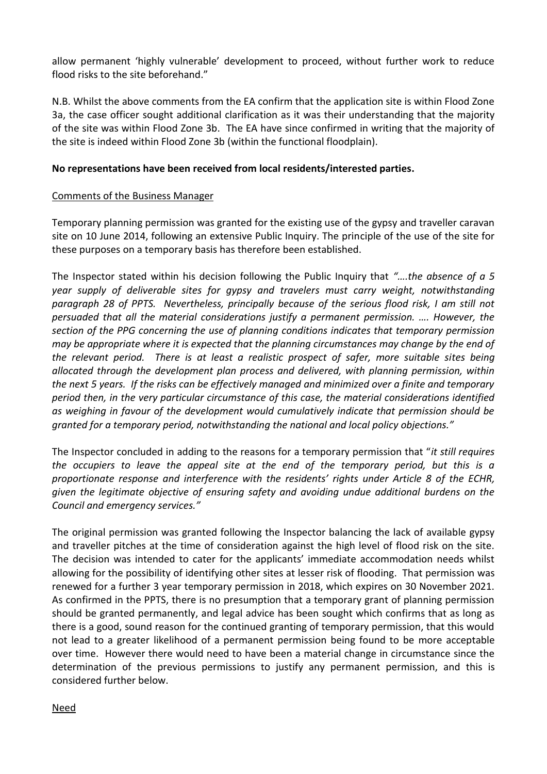allow permanent 'highly vulnerable' development to proceed, without further work to reduce flood risks to the site beforehand."

N.B. Whilst the above comments from the EA confirm that the application site is within Flood Zone 3a, the case officer sought additional clarification as it was their understanding that the majority of the site was within Flood Zone 3b. The EA have since confirmed in writing that the majority of the site is indeed within Flood Zone 3b (within the functional floodplain).

## **No representations have been received from local residents/interested parties.**

### Comments of the Business Manager

Temporary planning permission was granted for the existing use of the gypsy and traveller caravan site on 10 June 2014, following an extensive Public Inquiry. The principle of the use of the site for these purposes on a temporary basis has therefore been established.

The Inspector stated within his decision following the Public Inquiry that *"….the absence of a 5 year supply of deliverable sites for gypsy and travelers must carry weight, notwithstanding paragraph 28 of PPTS. Nevertheless, principally because of the serious flood risk, I am still not persuaded that all the material considerations justify a permanent permission. …. However, the section of the PPG concerning the use of planning conditions indicates that temporary permission may be appropriate where it is expected that the planning circumstances may change by the end of the relevant period. There is at least a realistic prospect of safer, more suitable sites being allocated through the development plan process and delivered, with planning permission, within the next 5 years. If the risks can be effectively managed and minimized over a finite and temporary period then, in the very particular circumstance of this case, the material considerations identified as weighing in favour of the development would cumulatively indicate that permission should be granted for a temporary period, notwithstanding the national and local policy objections."*

The Inspector concluded in adding to the reasons for a temporary permission that "*it still requires the occupiers to leave the appeal site at the end of the temporary period, but this is a proportionate response and interference with the residents' rights under Article 8 of the ECHR, given the legitimate objective of ensuring safety and avoiding undue additional burdens on the Council and emergency services."*

The original permission was granted following the Inspector balancing the lack of available gypsy and traveller pitches at the time of consideration against the high level of flood risk on the site. The decision was intended to cater for the applicants' immediate accommodation needs whilst allowing for the possibility of identifying other sites at lesser risk of flooding. That permission was renewed for a further 3 year temporary permission in 2018, which expires on 30 November 2021. As confirmed in the PPTS, there is no presumption that a temporary grant of planning permission should be granted permanently, and legal advice has been sought which confirms that as long as there is a good, sound reason for the continued granting of temporary permission, that this would not lead to a greater likelihood of a permanent permission being found to be more acceptable over time. However there would need to have been a material change in circumstance since the determination of the previous permissions to justify any permanent permission, and this is considered further below.

### Need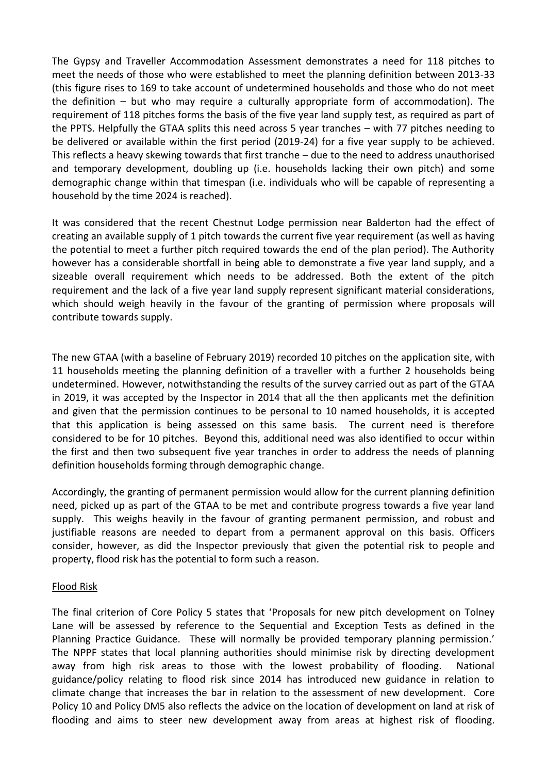The Gypsy and Traveller Accommodation Assessment demonstrates a need for 118 pitches to meet the needs of those who were established to meet the planning definition between 2013-33 (this figure rises to 169 to take account of undetermined households and those who do not meet the definition – but who may require a culturally appropriate form of accommodation). The requirement of 118 pitches forms the basis of the five year land supply test, as required as part of the PPTS. Helpfully the GTAA splits this need across 5 year tranches – with 77 pitches needing to be delivered or available within the first period (2019-24) for a five year supply to be achieved. This reflects a heavy skewing towards that first tranche – due to the need to address unauthorised and temporary development, doubling up (i.e. households lacking their own pitch) and some demographic change within that timespan (i.e. individuals who will be capable of representing a household by the time 2024 is reached).

It was considered that the recent Chestnut Lodge permission near Balderton had the effect of creating an available supply of 1 pitch towards the current five year requirement (as well as having the potential to meet a further pitch required towards the end of the plan period). The Authority however has a considerable shortfall in being able to demonstrate a five year land supply, and a sizeable overall requirement which needs to be addressed. Both the extent of the pitch requirement and the lack of a five year land supply represent significant material considerations, which should weigh heavily in the favour of the granting of permission where proposals will contribute towards supply.

The new GTAA (with a baseline of February 2019) recorded 10 pitches on the application site, with 11 households meeting the planning definition of a traveller with a further 2 households being undetermined. However, notwithstanding the results of the survey carried out as part of the GTAA in 2019, it was accepted by the Inspector in 2014 that all the then applicants met the definition and given that the permission continues to be personal to 10 named households, it is accepted that this application is being assessed on this same basis. The current need is therefore considered to be for 10 pitches. Beyond this, additional need was also identified to occur within the first and then two subsequent five year tranches in order to address the needs of planning definition households forming through demographic change.

Accordingly, the granting of permanent permission would allow for the current planning definition need, picked up as part of the GTAA to be met and contribute progress towards a five year land supply. This weighs heavily in the favour of granting permanent permission, and robust and justifiable reasons are needed to depart from a permanent approval on this basis. Officers consider, however, as did the Inspector previously that given the potential risk to people and property, flood risk has the potential to form such a reason.

### Flood Risk

The final criterion of Core Policy 5 states that 'Proposals for new pitch development on Tolney Lane will be assessed by reference to the Sequential and Exception Tests as defined in the Planning Practice Guidance. These will normally be provided temporary planning permission.' The NPPF states that local planning authorities should minimise risk by directing development away from high risk areas to those with the lowest probability of flooding. National guidance/policy relating to flood risk since 2014 has introduced new guidance in relation to climate change that increases the bar in relation to the assessment of new development. Core Policy 10 and Policy DM5 also reflects the advice on the location of development on land at risk of flooding and aims to steer new development away from areas at highest risk of flooding.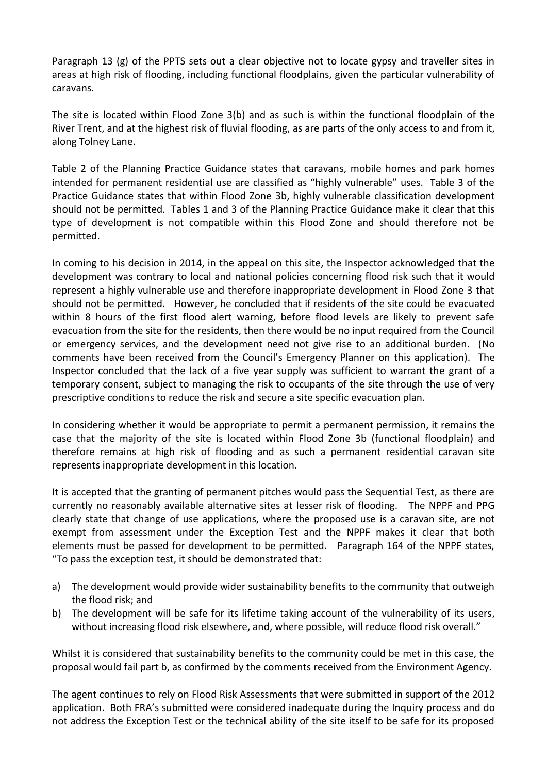Paragraph 13 (g) of the PPTS sets out a clear objective not to locate gypsy and traveller sites in areas at high risk of flooding, including functional floodplains, given the particular vulnerability of caravans.

The site is located within Flood Zone 3(b) and as such is within the functional floodplain of the River Trent, and at the highest risk of fluvial flooding, as are parts of the only access to and from it, along Tolney Lane.

Table 2 of the Planning Practice Guidance states that caravans, mobile homes and park homes intended for permanent residential use are classified as "highly vulnerable" uses. Table 3 of the Practice Guidance states that within Flood Zone 3b, highly vulnerable classification development should not be permitted. Tables 1 and 3 of the Planning Practice Guidance make it clear that this type of development is not compatible within this Flood Zone and should therefore not be permitted.

In coming to his decision in 2014, in the appeal on this site, the Inspector acknowledged that the development was contrary to local and national policies concerning flood risk such that it would represent a highly vulnerable use and therefore inappropriate development in Flood Zone 3 that should not be permitted. However, he concluded that if residents of the site could be evacuated within 8 hours of the first flood alert warning, before flood levels are likely to prevent safe evacuation from the site for the residents, then there would be no input required from the Council or emergency services, and the development need not give rise to an additional burden. (No comments have been received from the Council's Emergency Planner on this application). The Inspector concluded that the lack of a five year supply was sufficient to warrant the grant of a temporary consent, subject to managing the risk to occupants of the site through the use of very prescriptive conditions to reduce the risk and secure a site specific evacuation plan.

In considering whether it would be appropriate to permit a permanent permission, it remains the case that the majority of the site is located within Flood Zone 3b (functional floodplain) and therefore remains at high risk of flooding and as such a permanent residential caravan site represents inappropriate development in this location.

It is accepted that the granting of permanent pitches would pass the Sequential Test, as there are currently no reasonably available alternative sites at lesser risk of flooding. The NPPF and PPG clearly state that change of use applications, where the proposed use is a caravan site, are not exempt from assessment under the Exception Test and the NPPF makes it clear that both elements must be passed for development to be permitted. Paragraph 164 of the NPPF states, "To pass the exception test, it should be demonstrated that:

- a) The development would provide wider sustainability benefits to the community that outweigh the flood risk; and
- b) The development will be safe for its lifetime taking account of the vulnerability of its users, without increasing flood risk elsewhere, and, where possible, will reduce flood risk overall."

Whilst it is considered that sustainability benefits to the community could be met in this case, the proposal would fail part b, as confirmed by the comments received from the Environment Agency.

The agent continues to rely on Flood Risk Assessments that were submitted in support of the 2012 application. Both FRA's submitted were considered inadequate during the Inquiry process and do not address the Exception Test or the technical ability of the site itself to be safe for its proposed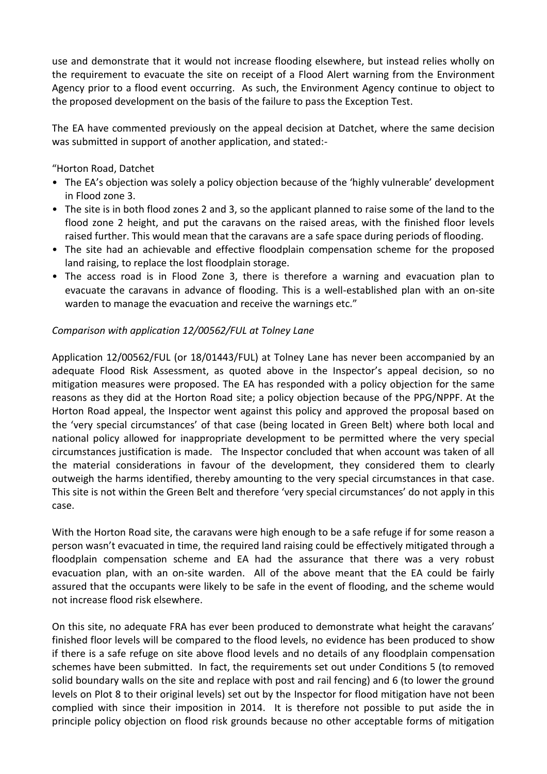use and demonstrate that it would not increase flooding elsewhere, but instead relies wholly on the requirement to evacuate the site on receipt of a Flood Alert warning from the Environment Agency prior to a flood event occurring. As such, the Environment Agency continue to object to the proposed development on the basis of the failure to pass the Exception Test.

The EA have commented previously on the appeal decision at Datchet, where the same decision was submitted in support of another application, and stated:-

"Horton Road, Datchet

- The EA's objection was solely a policy objection because of the 'highly vulnerable' development in Flood zone 3.
- The site is in both flood zones 2 and 3, so the applicant planned to raise some of the land to the flood zone 2 height, and put the caravans on the raised areas, with the finished floor levels raised further. This would mean that the caravans are a safe space during periods of flooding.
- The site had an achievable and effective floodplain compensation scheme for the proposed land raising, to replace the lost floodplain storage.
- The access road is in Flood Zone 3, there is therefore a warning and evacuation plan to evacuate the caravans in advance of flooding. This is a well-established plan with an on-site warden to manage the evacuation and receive the warnings etc."

## *Comparison with application 12/00562/FUL at Tolney Lane*

Application 12/00562/FUL (or 18/01443/FUL) at Tolney Lane has never been accompanied by an adequate Flood Risk Assessment, as quoted above in the Inspector's appeal decision, so no mitigation measures were proposed. The EA has responded with a policy objection for the same reasons as they did at the Horton Road site; a policy objection because of the PPG/NPPF. At the Horton Road appeal, the Inspector went against this policy and approved the proposal based on the 'very special circumstances' of that case (being located in Green Belt) where both local and national policy allowed for inappropriate development to be permitted where the very special circumstances justification is made. The Inspector concluded that when account was taken of all the material considerations in favour of the development, they considered them to clearly outweigh the harms identified, thereby amounting to the very special circumstances in that case. This site is not within the Green Belt and therefore 'very special circumstances' do not apply in this case.

With the Horton Road site, the caravans were high enough to be a safe refuge if for some reason a person wasn't evacuated in time, the required land raising could be effectively mitigated through a floodplain compensation scheme and EA had the assurance that there was a very robust evacuation plan, with an on-site warden. All of the above meant that the EA could be fairly assured that the occupants were likely to be safe in the event of flooding, and the scheme would not increase flood risk elsewhere.

On this site, no adequate FRA has ever been produced to demonstrate what height the caravans' finished floor levels will be compared to the flood levels, no evidence has been produced to show if there is a safe refuge on site above flood levels and no details of any floodplain compensation schemes have been submitted. In fact, the requirements set out under Conditions 5 (to removed solid boundary walls on the site and replace with post and rail fencing) and 6 (to lower the ground levels on Plot 8 to their original levels) set out by the Inspector for flood mitigation have not been complied with since their imposition in 2014. It is therefore not possible to put aside the in principle policy objection on flood risk grounds because no other acceptable forms of mitigation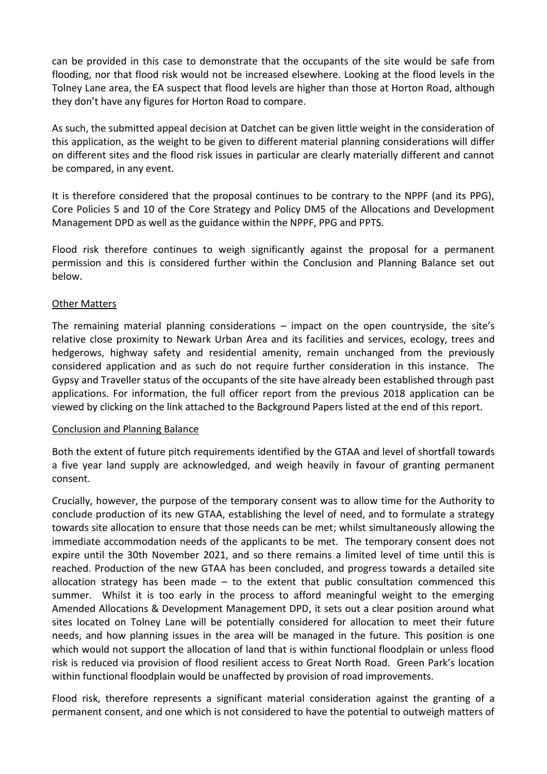can be provided in this case to demonstrate that the occupants of the site would be safe from flooding, nor that flood risk would not be increased elsewhere. Looking at the flood levels in the Tolney Lane area, the EA suspect that flood levels are higher than those at Horton Road, although they don't have any figures for Horton Road to compare.

As such, the submitted appeal decision at Datchet can be given little weight in the consideration of this application, as the weight to be given to different material planning considerations will differ on different sites and the flood risk issues in particular are clearly materially different and cannot be compared, in any event.

It is therefore considered that the proposal continues to be contrary to the NPPF (and its PPG), Core Policies 5 and 10 of the Core Strategy and Policy DM5 of the Allocations and Development Management DPD as well as the guidance within the NPPF, PPG and PPTS.

Flood risk therefore continues to weigh significantly against the proposal for a permanent permission and this is considered further within the Conclusion and Planning Balance set out below.

## Other Matters

The remaining material planning considerations – impact on the open countryside, the site's relative close proximity to Newark Urban Area and its facilities and services, ecology, trees and hedgerows, highway safety and residential amenity, remain unchanged from the previously considered application and as such do not require further consideration in this instance. The Gypsy and Traveller status of the occupants of the site have already been established through past applications. For information, the full officer report from the previous 2018 application can be viewed by clicking on the link attached to the Background Papers listed at the end of this report.

### Conclusion and Planning Balance

Both the extent of future pitch requirements identified by the GTAA and level of shortfall towards a five year land supply are acknowledged, and weigh heavily in favour of granting permanent consent.

Crucially, however, the purpose of the temporary consent was to allow time for the Authority to conclude production of its new GTAA, establishing the level of need, and to formulate a strategy towards site allocation to ensure that those needs can be met; whilst simultaneously allowing the immediate accommodation needs of the applicants to be met. The temporary consent does not expire until the 30th November 2021, and so there remains a limited level of time until this is reached. Production of the new GTAA has been concluded, and progress towards a detailed site allocation strategy has been made  $-$  to the extent that public consultation commenced this summer. Whilst it is too early in the process to afford meaningful weight to the emerging Amended Allocations & Development Management DPD, it sets out a clear position around what sites located on Tolney Lane will be potentially considered for allocation to meet their future needs, and how planning issues in the area will be managed in the future. This position is one which would not support the allocation of land that is within functional floodplain or unless flood risk is reduced via provision of flood resilient access to Great North Road. Green Park's location within functional floodplain would be unaffected by provision of road improvements.

Flood risk, therefore represents a significant material consideration against the granting of a permanent consent, and one which is not considered to have the potential to outweigh matters of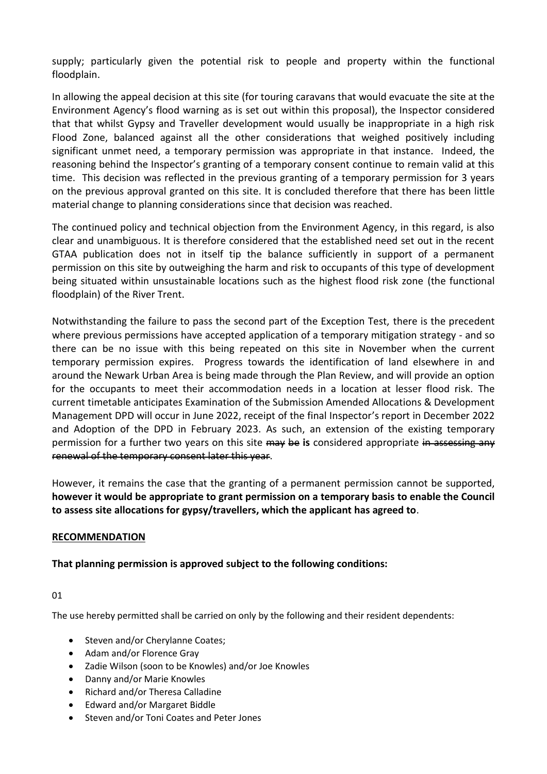supply; particularly given the potential risk to people and property within the functional floodplain.

In allowing the appeal decision at this site (for touring caravans that would evacuate the site at the Environment Agency's flood warning as is set out within this proposal), the Inspector considered that that whilst Gypsy and Traveller development would usually be inappropriate in a high risk Flood Zone, balanced against all the other considerations that weighed positively including significant unmet need, a temporary permission was appropriate in that instance. Indeed, the reasoning behind the Inspector's granting of a temporary consent continue to remain valid at this time. This decision was reflected in the previous granting of a temporary permission for 3 years on the previous approval granted on this site. It is concluded therefore that there has been little material change to planning considerations since that decision was reached.

The continued policy and technical objection from the Environment Agency, in this regard, is also clear and unambiguous. It is therefore considered that the established need set out in the recent GTAA publication does not in itself tip the balance sufficiently in support of a permanent permission on this site by outweighing the harm and risk to occupants of this type of development being situated within unsustainable locations such as the highest flood risk zone (the functional floodplain) of the River Trent.

Notwithstanding the failure to pass the second part of the Exception Test, there is the precedent where previous permissions have accepted application of a temporary mitigation strategy - and so there can be no issue with this being repeated on this site in November when the current temporary permission expires. Progress towards the identification of land elsewhere in and around the Newark Urban Area is being made through the Plan Review, and will provide an option for the occupants to meet their accommodation needs in a location at lesser flood risk. The current timetable anticipates Examination of the Submission Amended Allocations & Development Management DPD will occur in June 2022, receipt of the final Inspector's report in December 2022 and Adoption of the DPD in February 2023. As such, an extension of the existing temporary permission for a further two years on this site may be **is** considered appropriate in assessing any renewal of the temporary consent later this year.

However, it remains the case that the granting of a permanent permission cannot be supported, **however it would be appropriate to grant permission on a temporary basis to enable the Council to assess site allocations for gypsy/travellers, which the applicant has agreed to**.

## **RECOMMENDATION**

# **That planning permission is approved subject to the following conditions:**

01

The use hereby permitted shall be carried on only by the following and their resident dependents:

- Steven and/or Cherylanne Coates;
- Adam and/or Florence Gray
- Zadie Wilson (soon to be Knowles) and/or Joe Knowles
- Danny and/or Marie Knowles
- Richard and/or Theresa Calladine
- Edward and/or Margaret Biddle
- Steven and/or Toni Coates and Peter Jones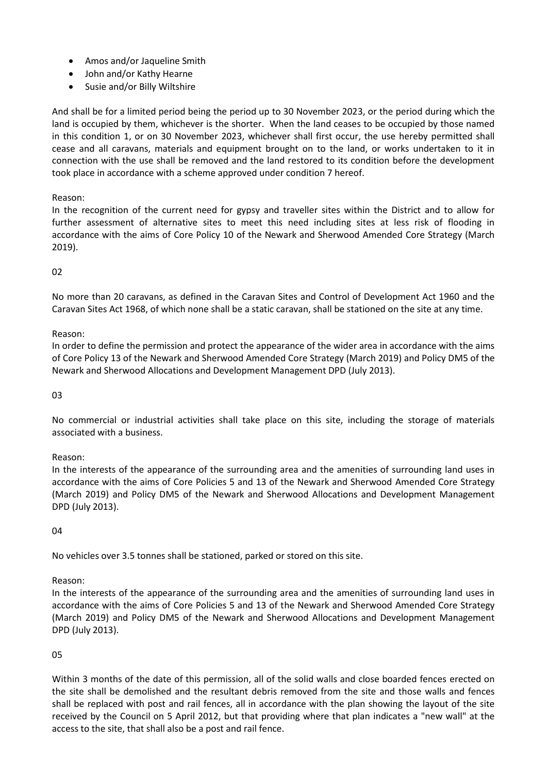- Amos and/or Jaqueline Smith
- John and/or Kathy Hearne
- Susie and/or Billy Wiltshire

And shall be for a limited period being the period up to 30 November 2023, or the period during which the land is occupied by them, whichever is the shorter. When the land ceases to be occupied by those named in this condition 1, or on 30 November 2023, whichever shall first occur, the use hereby permitted shall cease and all caravans, materials and equipment brought on to the land, or works undertaken to it in connection with the use shall be removed and the land restored to its condition before the development took place in accordance with a scheme approved under condition 7 hereof.

Reason:

In the recognition of the current need for gypsy and traveller sites within the District and to allow for further assessment of alternative sites to meet this need including sites at less risk of flooding in accordance with the aims of Core Policy 10 of the Newark and Sherwood Amended Core Strategy (March 2019).

#### $02$

No more than 20 caravans, as defined in the Caravan Sites and Control of Development Act 1960 and the Caravan Sites Act 1968, of which none shall be a static caravan, shall be stationed on the site at any time.

#### Reason:

In order to define the permission and protect the appearance of the wider area in accordance with the aims of Core Policy 13 of the Newark and Sherwood Amended Core Strategy (March 2019) and Policy DM5 of the Newark and Sherwood Allocations and Development Management DPD (July 2013).

03

No commercial or industrial activities shall take place on this site, including the storage of materials associated with a business.

Reason:

In the interests of the appearance of the surrounding area and the amenities of surrounding land uses in accordance with the aims of Core Policies 5 and 13 of the Newark and Sherwood Amended Core Strategy (March 2019) and Policy DM5 of the Newark and Sherwood Allocations and Development Management DPD (July 2013).

04

No vehicles over 3.5 tonnes shall be stationed, parked or stored on this site.

### Reason:

In the interests of the appearance of the surrounding area and the amenities of surrounding land uses in accordance with the aims of Core Policies 5 and 13 of the Newark and Sherwood Amended Core Strategy (March 2019) and Policy DM5 of the Newark and Sherwood Allocations and Development Management DPD (July 2013).

### 05

Within 3 months of the date of this permission, all of the solid walls and close boarded fences erected on the site shall be demolished and the resultant debris removed from the site and those walls and fences shall be replaced with post and rail fences, all in accordance with the plan showing the layout of the site received by the Council on 5 April 2012, but that providing where that plan indicates a "new wall" at the access to the site, that shall also be a post and rail fence.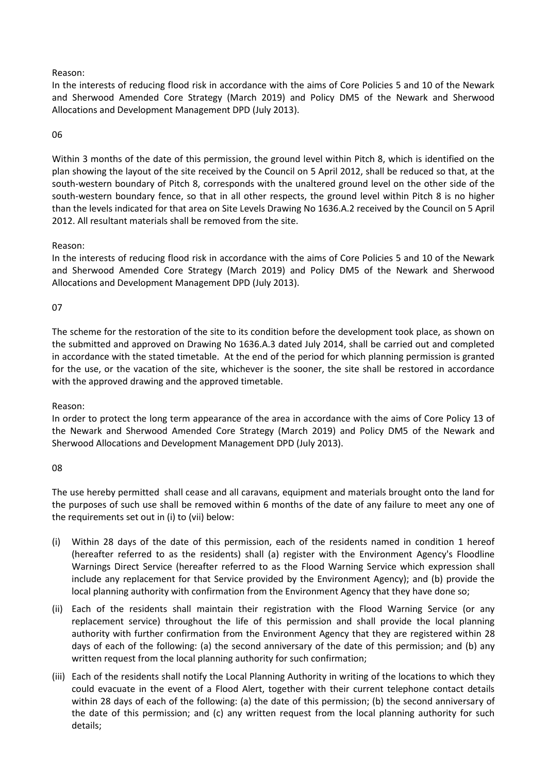#### Reason:

In the interests of reducing flood risk in accordance with the aims of Core Policies 5 and 10 of the Newark and Sherwood Amended Core Strategy (March 2019) and Policy DM5 of the Newark and Sherwood Allocations and Development Management DPD (July 2013).

#### 06

Within 3 months of the date of this permission, the ground level within Pitch 8, which is identified on the plan showing the layout of the site received by the Council on 5 April 2012, shall be reduced so that, at the south-western boundary of Pitch 8, corresponds with the unaltered ground level on the other side of the south-western boundary fence, so that in all other respects, the ground level within Pitch 8 is no higher than the levels indicated for that area on Site Levels Drawing No 1636.A.2 received by the Council on 5 April 2012. All resultant materials shall be removed from the site.

#### Reason:

In the interests of reducing flood risk in accordance with the aims of Core Policies 5 and 10 of the Newark and Sherwood Amended Core Strategy (March 2019) and Policy DM5 of the Newark and Sherwood Allocations and Development Management DPD (July 2013).

### 07

The scheme for the restoration of the site to its condition before the development took place, as shown on the submitted and approved on Drawing No 1636.A.3 dated July 2014, shall be carried out and completed in accordance with the stated timetable. At the end of the period for which planning permission is granted for the use, or the vacation of the site, whichever is the sooner, the site shall be restored in accordance with the approved drawing and the approved timetable.

### Reason:

In order to protect the long term appearance of the area in accordance with the aims of Core Policy 13 of the Newark and Sherwood Amended Core Strategy (March 2019) and Policy DM5 of the Newark and Sherwood Allocations and Development Management DPD (July 2013).

#### 08

The use hereby permitted shall cease and all caravans, equipment and materials brought onto the land for the purposes of such use shall be removed within 6 months of the date of any failure to meet any one of the requirements set out in (i) to (vii) below:

- (i) Within 28 days of the date of this permission, each of the residents named in condition 1 hereof (hereafter referred to as the residents) shall (a) register with the Environment Agency's Floodline Warnings Direct Service (hereafter referred to as the Flood Warning Service which expression shall include any replacement for that Service provided by the Environment Agency); and (b) provide the local planning authority with confirmation from the Environment Agency that they have done so;
- (ii) Each of the residents shall maintain their registration with the Flood Warning Service (or any replacement service) throughout the life of this permission and shall provide the local planning authority with further confirmation from the Environment Agency that they are registered within 28 days of each of the following: (a) the second anniversary of the date of this permission; and (b) any written request from the local planning authority for such confirmation;
- (iii) Each of the residents shall notify the Local Planning Authority in writing of the locations to which they could evacuate in the event of a Flood Alert, together with their current telephone contact details within 28 days of each of the following: (a) the date of this permission; (b) the second anniversary of the date of this permission; and (c) any written request from the local planning authority for such details;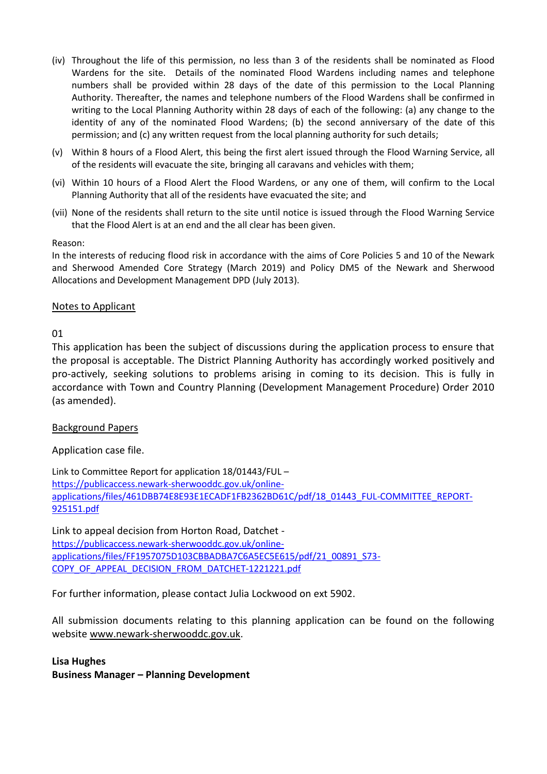- (iv) Throughout the life of this permission, no less than 3 of the residents shall be nominated as Flood Wardens for the site. Details of the nominated Flood Wardens including names and telephone numbers shall be provided within 28 days of the date of this permission to the Local Planning Authority. Thereafter, the names and telephone numbers of the Flood Wardens shall be confirmed in writing to the Local Planning Authority within 28 days of each of the following: (a) any change to the identity of any of the nominated Flood Wardens; (b) the second anniversary of the date of this permission; and (c) any written request from the local planning authority for such details;
- (v) Within 8 hours of a Flood Alert, this being the first alert issued through the Flood Warning Service, all of the residents will evacuate the site, bringing all caravans and vehicles with them;
- (vi) Within 10 hours of a Flood Alert the Flood Wardens, or any one of them, will confirm to the Local Planning Authority that all of the residents have evacuated the site; and
- (vii) None of the residents shall return to the site until notice is issued through the Flood Warning Service that the Flood Alert is at an end and the all clear has been given.

#### Reason:

In the interests of reducing flood risk in accordance with the aims of Core Policies 5 and 10 of the Newark and Sherwood Amended Core Strategy (March 2019) and Policy DM5 of the Newark and Sherwood Allocations and Development Management DPD (July 2013).

### Notes to Applicant

01

This application has been the subject of discussions during the application process to ensure that the proposal is acceptable. The District Planning Authority has accordingly worked positively and pro-actively, seeking solutions to problems arising in coming to its decision. This is fully in accordance with Town and Country Planning (Development Management Procedure) Order 2010 (as amended).

### Background Papers

Application case file.

Link to Committee Report for application 18/01443/FUL – [https://publicaccess.newark-sherwooddc.gov.uk/online](https://publicaccess.newark-sherwooddc.gov.uk/online-applications/files/461DBB74E8E93E1ECADF1FB2362BD61C/pdf/18_01443_FUL-COMMITTEE_REPORT-925151.pdf)[applications/files/461DBB74E8E93E1ECADF1FB2362BD61C/pdf/18\\_01443\\_FUL-COMMITTEE\\_REPORT-](https://publicaccess.newark-sherwooddc.gov.uk/online-applications/files/461DBB74E8E93E1ECADF1FB2362BD61C/pdf/18_01443_FUL-COMMITTEE_REPORT-925151.pdf)[925151.pdf](https://publicaccess.newark-sherwooddc.gov.uk/online-applications/files/461DBB74E8E93E1ECADF1FB2362BD61C/pdf/18_01443_FUL-COMMITTEE_REPORT-925151.pdf)

Link to appeal decision from Horton Road, Datchet [https://publicaccess.newark-sherwooddc.gov.uk/online](https://publicaccess.newark-sherwooddc.gov.uk/online-applications/files/FF1957075D103CBBADBA7C6A5EC5E615/pdf/21_00891_S73-COPY_OF_APPEAL_DECISION_FROM_DATCHET-1221221.pdf)[applications/files/FF1957075D103CBBADBA7C6A5EC5E615/pdf/21\\_00891\\_S73-](https://publicaccess.newark-sherwooddc.gov.uk/online-applications/files/FF1957075D103CBBADBA7C6A5EC5E615/pdf/21_00891_S73-COPY_OF_APPEAL_DECISION_FROM_DATCHET-1221221.pdf) [COPY\\_OF\\_APPEAL\\_DECISION\\_FROM\\_DATCHET-1221221.pdf](https://publicaccess.newark-sherwooddc.gov.uk/online-applications/files/FF1957075D103CBBADBA7C6A5EC5E615/pdf/21_00891_S73-COPY_OF_APPEAL_DECISION_FROM_DATCHET-1221221.pdf)

For further information, please contact Julia Lockwood on ext 5902.

All submission documents relating to this planning application can be found on the following websit[e www.newark-sherwooddc.gov.uk.](http://www.newark-sherwooddc.gov.uk/)

# **Lisa Hughes Business Manager – Planning Development**